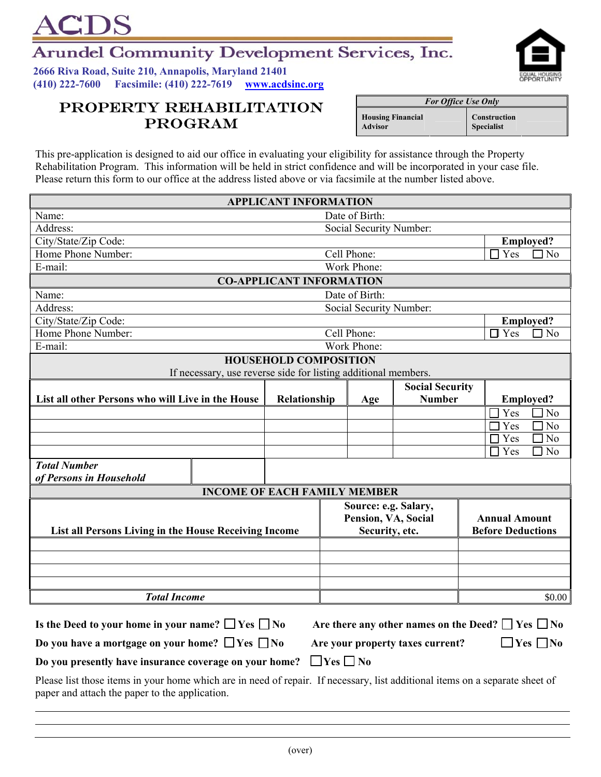## **Arundel Community Development Services, Inc.**

**2666 Riva Road, Suite 210, Annapolis, Maryland 21401 (410) 222-7600 Facsimile: (410) 222-7619 www.acdsinc.org**

**IDS** 

## **PROPERTY REHABILITATION** For Office Use Only **PROGRAM**

This pre-application is designed to aid our office in evaluating your eligibility for assistance through the Property Rehabilitation Program. This information will be held in strict confidence and will be incorporated in your case file. Please return this form to our office at the address listed above or via facsimile at the number listed above.

| <b>APPLICANT INFORMATION</b>                                                                                                                                                   |             |                     |                         |                          |                                         |                         |                                    |  |
|--------------------------------------------------------------------------------------------------------------------------------------------------------------------------------|-------------|---------------------|-------------------------|--------------------------|-----------------------------------------|-------------------------|------------------------------------|--|
| Name:                                                                                                                                                                          |             | Date of Birth:      |                         |                          |                                         |                         |                                    |  |
| Address:<br>Social Security Number:                                                                                                                                            |             |                     |                         |                          |                                         |                         |                                    |  |
| City/State/Zip Code:                                                                                                                                                           |             |                     |                         |                          |                                         | <b>Employed?</b>        |                                    |  |
| Home Phone Number:                                                                                                                                                             | Cell Phone: |                     |                         |                          |                                         | $\Box$ No<br>Yes        |                                    |  |
| E-mail:                                                                                                                                                                        | Work Phone: |                     |                         |                          |                                         |                         |                                    |  |
| <b>CO-APPLICANT INFORMATION</b>                                                                                                                                                |             |                     |                         |                          |                                         |                         |                                    |  |
| Name:                                                                                                                                                                          |             |                     | Date of Birth:          |                          |                                         |                         |                                    |  |
| Address:                                                                                                                                                                       |             |                     | Social Security Number: |                          |                                         |                         |                                    |  |
| City/State/Zip Code:                                                                                                                                                           |             |                     |                         |                          |                                         | <b>Employed?</b>        |                                    |  |
| Home Phone Number:                                                                                                                                                             | Cell Phone: |                     |                         |                          |                                         | $\Box$ No<br>$\Box$ Yes |                                    |  |
| E-mail:                                                                                                                                                                        |             |                     | Work Phone:             |                          |                                         |                         |                                    |  |
| <b>HOUSEHOLD COMPOSITION</b><br>If necessary, use reverse side for listing additional members.                                                                                 |             |                     |                         |                          |                                         |                         |                                    |  |
|                                                                                                                                                                                |             |                     |                         |                          |                                         |                         |                                    |  |
| List all other Persons who will Live in the House                                                                                                                              |             | Relationship        |                         | Age                      | <b>Social Security</b><br><b>Number</b> |                         | <b>Employed?</b>                   |  |
|                                                                                                                                                                                |             |                     |                         |                          |                                         |                         | Yes<br>$\sqrt{\frac{1}{10}}$       |  |
|                                                                                                                                                                                |             |                     |                         |                          |                                         |                         | $\sqrt{10}$<br>Yes                 |  |
|                                                                                                                                                                                |             |                     |                         |                          |                                         |                         | $\exists$ No<br>Yes                |  |
|                                                                                                                                                                                |             |                     |                         |                          |                                         |                         | Yes<br>$\Box$ No<br>$\blacksquare$ |  |
| <b>Total Number</b>                                                                                                                                                            |             |                     |                         |                          |                                         |                         |                                    |  |
| of Persons in Household                                                                                                                                                        |             |                     |                         |                          |                                         |                         |                                    |  |
| <b>INCOME OF EACH FAMILY MEMBER</b>                                                                                                                                            |             |                     |                         |                          |                                         |                         |                                    |  |
|                                                                                                                                                                                |             |                     |                         |                          | Source: e.g. Salary,                    |                         |                                    |  |
|                                                                                                                                                                                |             | Pension, VA, Social |                         |                          | <b>Annual Amount</b>                    |                         |                                    |  |
| List all Persons Living in the House Receiving Income                                                                                                                          |             | Security, etc.      |                         | <b>Before Deductions</b> |                                         |                         |                                    |  |
|                                                                                                                                                                                |             |                     |                         |                          |                                         |                         |                                    |  |
|                                                                                                                                                                                |             |                     |                         |                          |                                         |                         |                                    |  |
|                                                                                                                                                                                |             |                     |                         |                          |                                         |                         |                                    |  |
|                                                                                                                                                                                |             |                     |                         |                          |                                         |                         |                                    |  |
| <b>Total Income</b>                                                                                                                                                            |             |                     |                         |                          |                                         |                         | \$0.00                             |  |
| Is the Deed to your home in your name? $\Box$ Yes $\Box$ No<br>Are there any other names on the Deed? $\Box$ Yes $\Box$ No                                                     |             |                     |                         |                          |                                         |                         |                                    |  |
| Do you have a mortgage on your home? $\Box$ Yes $\Box$ No<br>$\Box$ Yes $\Box$ No<br>Are your property taxes current?                                                          |             |                     |                         |                          |                                         |                         |                                    |  |
| $\Box$ Yes $\Box$ No<br>Do you presently have insurance coverage on your home?                                                                                                 |             |                     |                         |                          |                                         |                         |                                    |  |
| Please list those items in your home which are in need of repair. If necessary, list additional items on a separate sheet of<br>paper and attach the paper to the application. |             |                     |                         |                          |                                         |                         |                                    |  |



**Advisor**